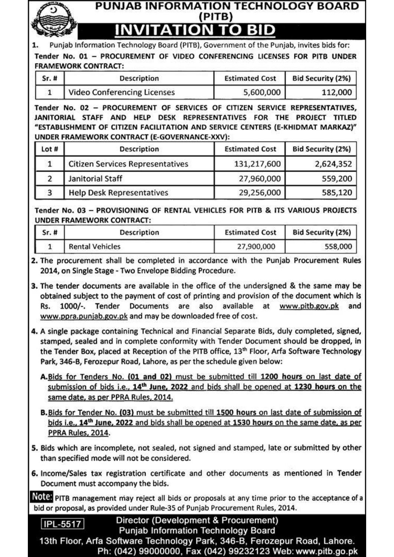#### **PUNJAB INFORMATION TECHNOLOGY BOARD** (PITB) **TO BID** ΊΟΝ ZП

Punjab Information Technology Board (PITB), Government of the Punjab, invites bids for: Tender No. 01 - PROCUREMENT OF VIDEO CONFERENCING LICENSES FOR PITB UNDER **FRAMEWORK CONTRACT:** 

| $Sr.$ # | <b>Description</b>                 | <b>Estimated Cost</b> | <b>Bid Security (2%)</b> |  |  |  |
|---------|------------------------------------|-----------------------|--------------------------|--|--|--|
|         | <b>Video Conferencing Licenses</b> | 5,600,000             | 112,000                  |  |  |  |

Tender No. 02 - PROCUREMENT OF SERVICES OF CITIZEN SERVICE REPRESENTATIVES. JANITORIAL STAFF AND HELP DESK REPRESENTATIVES FOR THE PROJECT TITLED "ESTABLISHMENT OF CITIZEN FACILITATION AND SERVICE CENTERS (E-KHIDMAT MARKAZ)" UNDER FRAMEWORK CONTRACT (E-GOVERNANCE-XXV):

| Lot # | <b>Description</b>                      | <b>Estimated Cost</b> | <b>Bid Security (2%)</b> |
|-------|-----------------------------------------|-----------------------|--------------------------|
|       | <b>Citizen Services Representatives</b> | 131,217,600           | 2,624,352                |
|       | Janitorial Staff                        | 27,960,000            | 559,200                  |
|       | <b>Help Desk Representatives</b>        | 29,256,000            | 585,120                  |

Tender No. 03 - PROVISIONING OF RENTAL VEHICLES FOR PITB & ITS VARIOUS PROJECTS **UNDER FRAMEWORK CONTRACT:** 

| Sr. # | Description            | <b>Estimated Cost</b> | <b>Bid Security (2%)</b> |
|-------|------------------------|-----------------------|--------------------------|
|       | <b>Rental Vehicles</b> | 27,900,000            | 558,000                  |

2. The procurement shall be completed in accordance with the Punjab Procurement Rules 2014, on Single Stage - Two Envelope Bidding Procedure.

- 3. The tender documents are available in the office of the undersigned & the same may be obtained subject to the payment of cost of printing and provision of the document which is 1000/-. Tender Documents are also available at www.pitb.gov.pk and Rs. www.ppra.punjab.gov.pk and may be downloaded free of cost.
- 4. A single package containing Technical and Financial Separate Bids, duly completed, signed, stamped, sealed and in complete conformity with Tender Document should be dropped, in the Tender Box, placed at Reception of the PITB office, 13<sup>th</sup> Floor, Arfa Software Technology Park, 346-B, Ferozepur Road, Lahore, as per the schedule given below:
	- A. Bids for Tenders No. (01 and 02) must be submitted till 1200 hours on last date of submission of bids i.e., 14<sup>th</sup> June, 2022 and bids shall be opened at 1230 hours on the same date, as per PPRA Rules, 2014.
	- B. Bids for Tender No. (03) must be submitted till 1500 hours on last date of submission of bids i.e., 14<sup>th</sup> June, 2022 and bids shall be opened at 1530 hours on the same date, as per PPRA Rules, 2014.
- 5. Bids which are incomplete, not sealed, not signed and stamped, late or submitted by other than specified mode will not be considered.
- 6. Income/Sales tax registration certificate and other documents as mentioned in Tender Document must accompany the bids.

NOICE PITB management may reject all bids or proposals at any time prior to the acceptance of a bid or proposal, as provided under Rule-35 of Punjab Procurement Rules, 2014.

Director (Development & Procurement) **Punjab Information Technology Board** 

13th Floor, Arfa Software Technology Park, 346-B, Ferozepur Road, Lahore. Ph: (042) 99000000, Fax (042) 99232123 Web: www.pitb.go.pk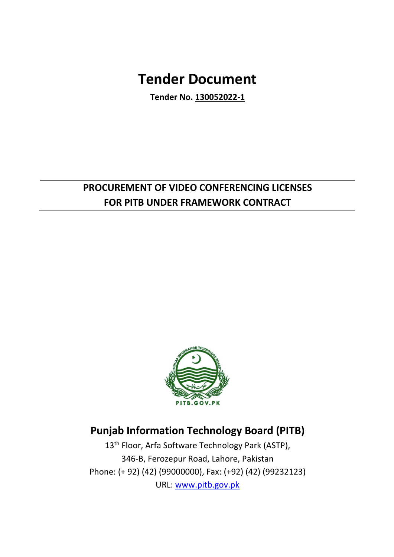# **Tender Document**

**Tender No. 130052022-1**

# **PROCUREMENT OF VIDEO CONFERENCING LICENSES FOR PITB UNDER FRAMEWORK CONTRACT**



# **Punjab Information Technology Board (PITB)**

13<sup>th</sup> Floor, Arfa Software Technology Park (ASTP), 346-B, Ferozepur Road, Lahore, Pakistan Phone: (+ 92) (42) (99000000), Fax: (+92) (42) (99232123) URL: www.pitb.gov.pk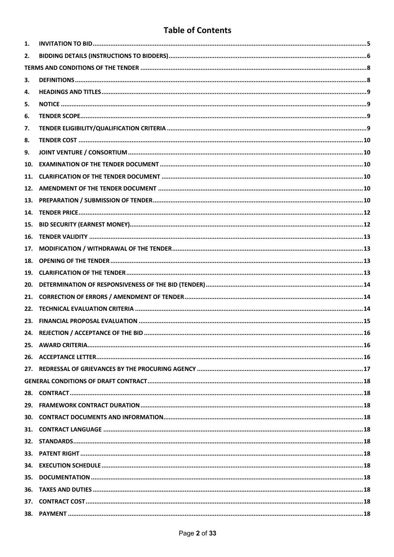# **Table of Contents**

| 1.  |  |
|-----|--|
| 2.  |  |
|     |  |
| з.  |  |
| 4.  |  |
| 5.  |  |
| 6.  |  |
| 7.  |  |
| 8.  |  |
| 9.  |  |
| 10. |  |
| 11. |  |
| 12. |  |
| 13. |  |
| 14. |  |
| 15. |  |
| 16. |  |
| 17. |  |
| 18. |  |
| 19. |  |
| 20. |  |
| 21. |  |
| 22. |  |
| 23. |  |
| 24. |  |
|     |  |
|     |  |
|     |  |
|     |  |
|     |  |
|     |  |
|     |  |
| 31. |  |
| 32. |  |
| 33. |  |
| 34. |  |
| 35. |  |
| 36. |  |
| 37. |  |
| 38. |  |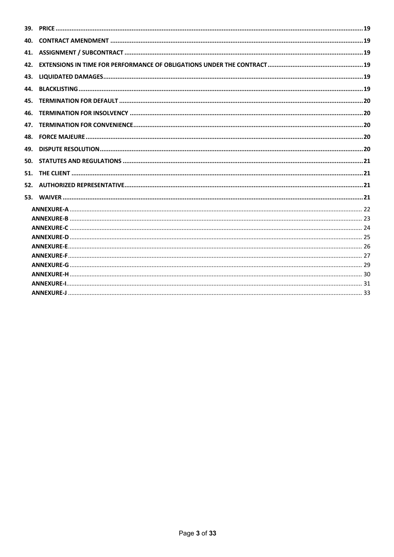| 40. |  |
|-----|--|
|     |  |
| 42. |  |
| 43. |  |
| 44. |  |
| 45. |  |
| 46. |  |
| 47. |  |
|     |  |
| 49. |  |
| 50. |  |
| 51. |  |
|     |  |
|     |  |
|     |  |
|     |  |
|     |  |
|     |  |
|     |  |
|     |  |
|     |  |
|     |  |
|     |  |
|     |  |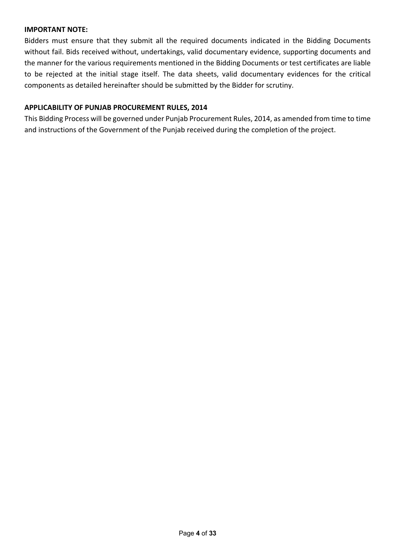# **IMPORTANT NOTE:**

Bidders must ensure that they submit all the required documents indicated in the Bidding Documents without fail. Bids received without, undertakings, valid documentary evidence, supporting documents and the manner for the various requirements mentioned in the Bidding Documents or test certificates are liable to be rejected at the initial stage itself. The data sheets, valid documentary evidences for the critical components as detailed hereinafter should be submitted by the Bidder for scrutiny.

# **APPLICABILITY OF PUNJAB PROCUREMENT RULES, 2014**

This Bidding Process will be governed under Punjab Procurement Rules, 2014, as amended from time to time and instructions of the Government of the Punjab received during the completion of the project.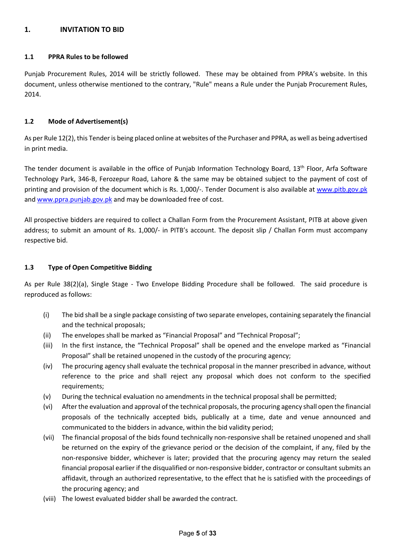# **1. INVITATION TO BID**

#### **1.1 PPRA Rules to be followed**

Punjab Procurement Rules, 2014 will be strictly followed. These may be obtained from PPRA's website. In this document, unless otherwise mentioned to the contrary, "Rule" means a Rule under the Punjab Procurement Rules, 2014.

### **1.2 Mode of Advertisement(s)**

As per Rule 12(2), this Tender is being placed online at websites of the Purchaser and PPRA, as well as being advertised in print media.

The tender document is available in the office of Punjab Information Technology Board, 13<sup>th</sup> Floor, Arfa Software Technology Park, 346-B, Ferozepur Road, Lahore & the same may be obtained subject to the payment of cost of printing and provision of the document which is Rs. 1,000/-. Tender Document is also available at www.pitb.gov.pk and www.ppra.punjab.gov.pk and may be downloaded free of cost.

All prospective bidders are required to collect a Challan Form from the Procurement Assistant, PITB at above given address; to submit an amount of Rs. 1,000/- in PITB's account. The deposit slip / Challan Form must accompany respective bid.

# **1.3 Type of Open Competitive Bidding**

As per Rule 38(2)(a), Single Stage - Two Envelope Bidding Procedure shall be followed. The said procedure is reproduced as follows:

- (i) The bid shall be a single package consisting of two separate envelopes, containing separately the financial and the technical proposals;
- (ii) The envelopes shall be marked as "Financial Proposal" and "Technical Proposal";
- (iii) In the first instance, the "Technical Proposal" shall be opened and the envelope marked as "Financial Proposal" shall be retained unopened in the custody of the procuring agency;
- (iv) The procuring agency shall evaluate the technical proposal in the manner prescribed in advance, without reference to the price and shall reject any proposal which does not conform to the specified requirements;
- (v) During the technical evaluation no amendments in the technical proposal shall be permitted;
- (vi) After the evaluation and approval of the technical proposals, the procuring agency shall open the financial proposals of the technically accepted bids, publically at a time, date and venue announced and communicated to the bidders in advance, within the bid validity period;
- (vii) The financial proposal of the bids found technically non-responsive shall be retained unopened and shall be returned on the expiry of the grievance period or the decision of the complaint, if any, filed by the non-responsive bidder, whichever is later; provided that the procuring agency may return the sealed financial proposal earlier if the disqualified or non-responsive bidder, contractor or consultant submits an affidavit, through an authorized representative, to the effect that he is satisfied with the proceedings of the procuring agency; and
- (viii) The lowest evaluated bidder shall be awarded the contract.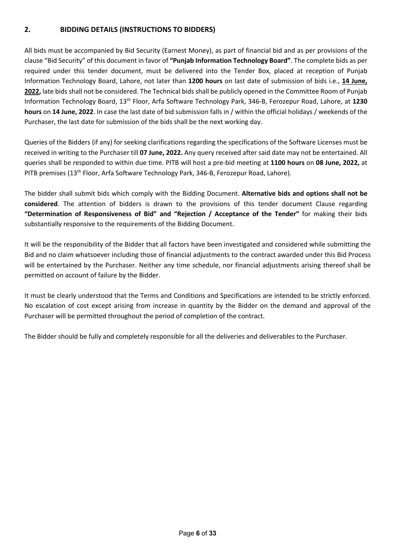# **2. BIDDING DETAILS (INSTRUCTIONS TO BIDDERS)**

All bids must be accompanied by Bid Security (Earnest Money), as part of financial bid and as per provisions of the clause "Bid Security" of this document in favor of **"Punjab Information Technology Board"**. The complete bids as per required under this tender document, must be delivered into the Tender Box, placed at reception of Punjab Information Technology Board, Lahore, not later than **1200 hours** on last date of submission of bids i.e., **14 June, 2022,** late bids shall not be considered. The Technical bids shall be publicly opened in the Committee Room of Punjab Information Technology Board, 13th Floor, Arfa Software Technology Park, 346-B, Ferozepur Road, Lahore, at **1230 hours** on **14 June, 2022**. In case the last date of bid submission falls in / within the official holidays / weekends of the Purchaser, the last date for submission of the bids shall be the next working day.

Queries of the Bidders (if any) for seeking clarifications regarding the specifications of the Software Licenses must be received in writing to the Purchaser till **07 June, 2022.** Any query received after said date may not be entertained. All queries shall be responded to within due time. PITB will host a pre-bid meeting at **1100 hours** on **08 June, 2022,** at PITB premises (13<sup>th</sup> Floor, Arfa Software Technology Park, 346-B, Ferozepur Road, Lahore).

The bidder shall submit bids which comply with the Bidding Document. **Alternative bids and options shall not be considered**. The attention of bidders is drawn to the provisions of this tender document Clause regarding **"Determination of Responsiveness of Bid" and "Rejection / Acceptance of the Tender"** for making their bids substantially responsive to the requirements of the Bidding Document.

It will be the responsibility of the Bidder that all factors have been investigated and considered while submitting the Bid and no claim whatsoever including those of financial adjustments to the contract awarded under this Bid Process will be entertained by the Purchaser. Neither any time schedule, nor financial adjustments arising thereof shall be permitted on account of failure by the Bidder.

It must be clearly understood that the Terms and Conditions and Specifications are intended to be strictly enforced. No escalation of cost except arising from increase in quantity by the Bidder on the demand and approval of the Purchaser will be permitted throughout the period of completion of the contract.

The Bidder should be fully and completely responsible for all the deliveries and deliverables to the Purchaser.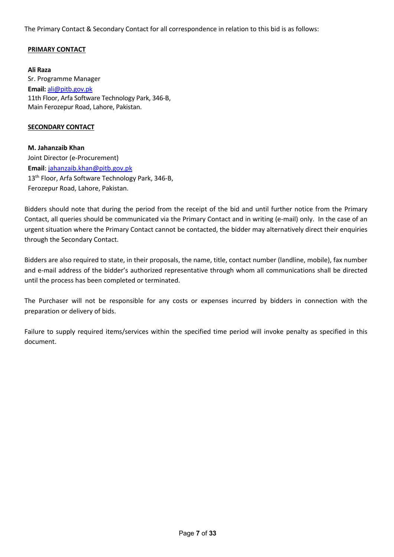The Primary Contact & Secondary Contact for all correspondence in relation to this bid is as follows:

# **PRIMARY CONTACT**

**Ali Raza** Sr. Programme Manager **Email:** ali@pitb.gov.pk 11th Floor, Arfa Software Technology Park, 346-B, Main Ferozepur Road, Lahore, Pakistan.

#### **SECONDARY CONTACT**

**M. Jahanzaib Khan** Joint Director (e-Procurement) **Email**: jahanzaib.khan@pitb.gov.pk 13<sup>th</sup> Floor, Arfa Software Technology Park, 346-B, Ferozepur Road, Lahore, Pakistan.

Bidders should note that during the period from the receipt of the bid and until further notice from the Primary Contact, all queries should be communicated via the Primary Contact and in writing (e-mail) only. In the case of an urgent situation where the Primary Contact cannot be contacted, the bidder may alternatively direct their enquiries through the Secondary Contact.

Bidders are also required to state, in their proposals, the name, title, contact number (landline, mobile), fax number and e-mail address of the bidder's authorized representative through whom all communications shall be directed until the process has been completed or terminated.

The Purchaser will not be responsible for any costs or expenses incurred by bidders in connection with the preparation or delivery of bids.

Failure to supply required items/services within the specified time period will invoke penalty as specified in this document.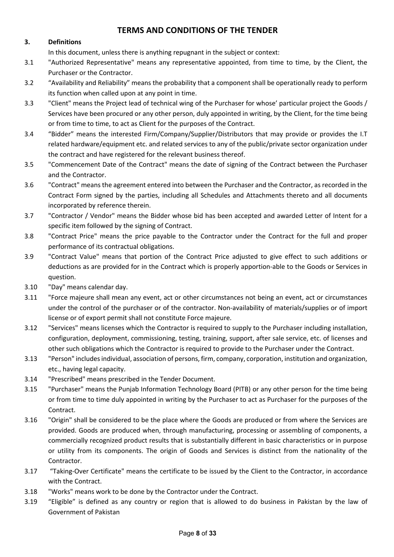# **TERMS AND CONDITIONS OF THE TENDER**

# **3. Definitions**

In this document, unless there is anything repugnant in the subject or context:

- 3.1 "Authorized Representative" means any representative appointed, from time to time, by the Client, the Purchaser or the Contractor.
- 3.2 "Availability and Reliability" means the probability that a component shall be operationally ready to perform its function when called upon at any point in time.
- 3.3 "Client" means the Project lead of technical wing of the Purchaser for whose' particular project the Goods / Services have been procured or any other person, duly appointed in writing, by the Client, for the time being or from time to time, to act as Client for the purposes of the Contract.
- 3.4 "Bidder" means the interested Firm/Company/Supplier/Distributors that may provide or provides the I.T related hardware/equipment etc. and related services to any of the public/private sector organization under the contract and have registered for the relevant business thereof.
- 3.5 "Commencement Date of the Contract" means the date of signing of the Contract between the Purchaser and the Contractor.
- 3.6 "Contract" means the agreement entered into between the Purchaser and the Contractor, as recorded in the Contract Form signed by the parties, including all Schedules and Attachments thereto and all documents incorporated by reference therein.
- 3.7 "Contractor / Vendor" means the Bidder whose bid has been accepted and awarded Letter of Intent for a specific item followed by the signing of Contract.
- 3.8 "Contract Price" means the price payable to the Contractor under the Contract for the full and proper performance of its contractual obligations.
- 3.9 "Contract Value" means that portion of the Contract Price adjusted to give effect to such additions or deductions as are provided for in the Contract which is properly apportion-able to the Goods or Services in question.
- 3.10 "Day" means calendar day.
- 3.11 "Force majeure shall mean any event, act or other circumstances not being an event, act or circumstances under the control of the purchaser or of the contractor. Non-availability of materials/supplies or of import license or of export permit shall not constitute Force majeure.
- 3.12 "Services" means licenses which the Contractor is required to supply to the Purchaser including installation, configuration, deployment, commissioning, testing, training, support, after sale service, etc. of licenses and other such obligations which the Contractor is required to provide to the Purchaser under the Contract.
- 3.13 "Person" includes individual, association of persons, firm, company, corporation, institution and organization, etc., having legal capacity.
- 3.14 "Prescribed" means prescribed in the Tender Document.
- 3.15 "Purchaser" means the Punjab Information Technology Board (PITB) or any other person for the time being or from time to time duly appointed in writing by the Purchaser to act as Purchaser for the purposes of the Contract.
- 3.16 "Origin" shall be considered to be the place where the Goods are produced or from where the Services are provided. Goods are produced when, through manufacturing, processing or assembling of components, a commercially recognized product results that is substantially different in basic characteristics or in purpose or utility from its components. The origin of Goods and Services is distinct from the nationality of the Contractor.
- 3.17 "Taking-Over Certificate" means the certificate to be issued by the Client to the Contractor, in accordance with the Contract.
- 3.18 "Works" means work to be done by the Contractor under the Contract.
- 3.19 "Eligible" is defined as any country or region that is allowed to do business in Pakistan by the law of Government of Pakistan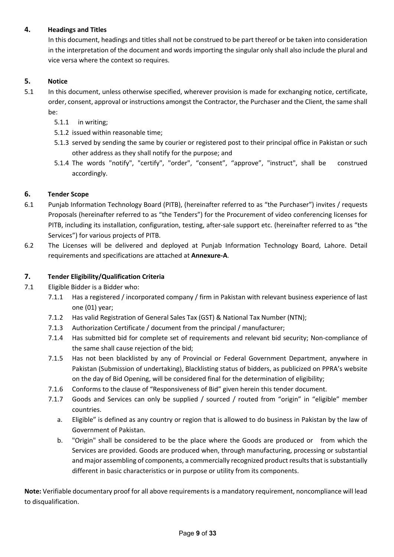# **4. Headings and Titles**

In this document, headings and titles shall not be construed to be part thereof or be taken into consideration in the interpretation of the document and words importing the singular only shall also include the plural and vice versa where the context so requires.

# **5. Notice**

- 5.1 In this document, unless otherwise specified, wherever provision is made for exchanging notice, certificate, order, consent, approval or instructions amongst the Contractor, the Purchaser and the Client, the same shall be:
	- 5.1.1 in writing;
	- 5.1.2 issued within reasonable time;
	- 5.1.3 served by sending the same by courier or registered post to their principal office in Pakistan or such other address as they shall notify for the purpose; and
	- 5.1.4 The words "notify", "certify", "order", "consent", "approve", "instruct", shall be construed accordingly.

# **6. Tender Scope**

- 6.1 Punjab Information Technology Board (PITB), (hereinafter referred to as "the Purchaser") invites / requests Proposals (hereinafter referred to as "the Tenders") for the Procurement of video conferencing licenses for PITB, including its installation, configuration, testing, after-sale support etc. (hereinafter referred to as "the Services") for various projects of PITB.
- 6.2 The Licenses will be delivered and deployed at Punjab Information Technology Board, Lahore. Detail requirements and specifications are attached at **Annexure-A**.

# **7. Tender Eligibility/Qualification Criteria**

- 7.1 Eligible Bidder is a Bidder who:
	- 7.1.1 Has a registered / incorporated company / firm in Pakistan with relevant business experience of last one (01) year;
	- 7.1.2 Has valid Registration of General Sales Tax (GST) & National Tax Number (NTN);
	- 7.1.3 Authorization Certificate / document from the principal / manufacturer;
	- 7.1.4 Has submitted bid for complete set of requirements and relevant bid security; Non-compliance of the same shall cause rejection of the bid;
	- 7.1.5 Has not been blacklisted by any of Provincial or Federal Government Department, anywhere in Pakistan (Submission of undertaking), Blacklisting status of bidders, as publicized on PPRA's website on the day of Bid Opening, will be considered final for the determination of eligibility;
	- 7.1.6 Conforms to the clause of "Responsiveness of Bid" given herein this tender document.
	- 7.1.7 Goods and Services can only be supplied / sourced / routed from "origin" in "eligible" member countries.
		- a. Eligible" is defined as any country or region that is allowed to do business in Pakistan by the law of Government of Pakistan.
		- b. "Origin" shall be considered to be the place where the Goods are produced or from which the Services are provided. Goods are produced when, through manufacturing, processing or substantial and major assembling of components, a commercially recognized product results that is substantially different in basic characteristics or in purpose or utility from its components.

**Note:** Verifiable documentary proof for all above requirements is a mandatory requirement, noncompliance will lead to disqualification.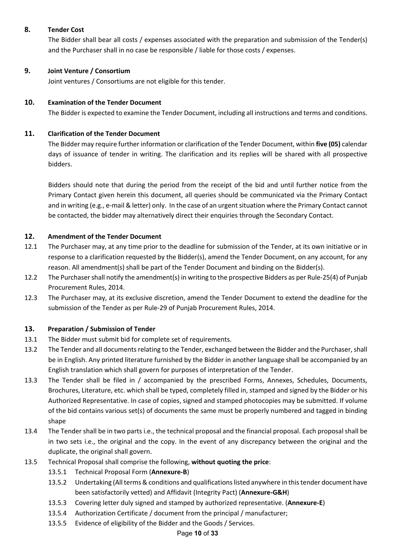# **8. Tender Cost**

The Bidder shall bear all costs / expenses associated with the preparation and submission of the Tender(s) and the Purchaser shall in no case be responsible / liable for those costs / expenses.

# **9. Joint Venture / Consortium**

Joint ventures / Consortiums are not eligible for this tender.

# **10. Examination of the Tender Document**

The Bidder is expected to examine the Tender Document, including all instructions and terms and conditions.

# **11. Clarification of the Tender Document**

The Bidder may require further information or clarification of the Tender Document, within **five (05)** calendar days of issuance of tender in writing. The clarification and its replies will be shared with all prospective bidders.

Bidders should note that during the period from the receipt of the bid and until further notice from the Primary Contact given herein this document, all queries should be communicated via the Primary Contact and in writing (e.g., e-mail & letter) only. In the case of an urgent situation where the Primary Contact cannot be contacted, the bidder may alternatively direct their enquiries through the Secondary Contact.

# **12. Amendment of the Tender Document**

- 12.1 The Purchaser may, at any time prior to the deadline for submission of the Tender, at its own initiative or in response to a clarification requested by the Bidder(s), amend the Tender Document, on any account, for any reason. All amendment(s) shall be part of the Tender Document and binding on the Bidder(s).
- 12.2 The Purchaser shall notify the amendment(s) in writing to the prospective Bidders as per Rule-25(4) of Punjab Procurement Rules, 2014.
- 12.3 The Purchaser may, at its exclusive discretion, amend the Tender Document to extend the deadline for the submission of the Tender as per Rule-29 of Punjab Procurement Rules, 2014.

# **13. Preparation / Submission of Tender**

- 13.1 The Bidder must submit bid for complete set of requirements.
- 13.2 The Tender and all documents relating to the Tender, exchanged between the Bidder and the Purchaser, shall be in English. Any printed literature furnished by the Bidder in another language shall be accompanied by an English translation which shall govern for purposes of interpretation of the Tender.
- 13.3 The Tender shall be filed in / accompanied by the prescribed Forms, Annexes, Schedules, Documents, Brochures, Literature, etc. which shall be typed, completely filled in, stamped and signed by the Bidder or his Authorized Representative. In case of copies, signed and stamped photocopies may be submitted. If volume of the bid contains various set(s) of documents the same must be properly numbered and tagged in binding shape
- 13.4 The Tender shall be in two parts i.e., the technical proposal and the financial proposal. Each proposal shall be in two sets i.e., the original and the copy. In the event of any discrepancy between the original and the duplicate, the original shall govern.
- 13.5 Technical Proposal shall comprise the following, **without quoting the price**:
	- 13.5.1 Technical Proposal Form (**Annexure-B**)
	- 13.5.2 Undertaking (All terms & conditions and qualifications listed anywhere in this tender document have been satisfactorily vetted) and Affidavit (Integrity Pact) (**Annexure-G&H**)
	- 13.5.3 Covering letter duly signed and stamped by authorized representative. (**Annexure-E**)
	- 13.5.4 Authorization Certificate / document from the principal / manufacturer;
	- 13.5.5 Evidence of eligibility of the Bidder and the Goods / Services.

#### Page **10** of **33**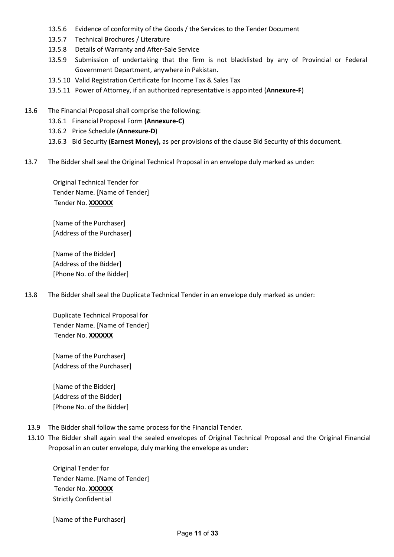- 13.5.6 Evidence of conformity of the Goods / the Services to the Tender Document
- 13.5.7 Technical Brochures / Literature
- 13.5.8 Details of Warranty and After-Sale Service
- 13.5.9 Submission of undertaking that the firm is not blacklisted by any of Provincial or Federal Government Department, anywhere in Pakistan.
- 13.5.10 Valid Registration Certificate for Income Tax & Sales Tax
- 13.5.11 Power of Attorney, if an authorized representative is appointed (**Annexure-F**)
- 13.6 The Financial Proposal shall comprise the following:
	- 13.6.1 Financial Proposal Form **(Annexure-C)**
	- 13.6.2 Price Schedule (**Annexure-D**)
	- 13.6.3 Bid Security **(Earnest Money),** as per provisions of the clause Bid Security of this document.
- 13.7 The Bidder shall seal the Original Technical Proposal in an envelope duly marked as under:

Original Technical Tender for Tender Name. [Name of Tender] Tender No. **XXXXXX**

[Name of the Purchaser] [Address of the Purchaser]

[Name of the Bidder] [Address of the Bidder] [Phone No. of the Bidder]

13.8 The Bidder shall seal the Duplicate Technical Tender in an envelope duly marked as under:

Duplicate Technical Proposal for Tender Name. [Name of Tender] Tender No. **XXXXXX**

[Name of the Purchaser] [Address of the Purchaser]

[Name of the Bidder] [Address of the Bidder] [Phone No. of the Bidder]

- 13.9 The Bidder shall follow the same process for the Financial Tender.
- 13.10 The Bidder shall again seal the sealed envelopes of Original Technical Proposal and the Original Financial Proposal in an outer envelope, duly marking the envelope as under:

Original Tender for Tender Name. [Name of Tender] Tender No. **XXXXXX** Strictly Confidential

[Name of the Purchaser]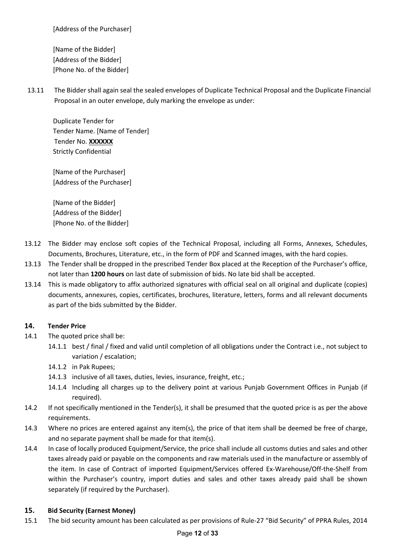[Address of the Purchaser]

[Name of the Bidder] [Address of the Bidder] [Phone No. of the Bidder]

13.11 The Bidder shall again seal the sealed envelopes of Duplicate Technical Proposal and the Duplicate Financial Proposal in an outer envelope, duly marking the envelope as under:

Duplicate Tender for Tender Name. [Name of Tender] Tender No. **XXXXXX** Strictly Confidential

[Name of the Purchaser] [Address of the Purchaser]

[Name of the Bidder] [Address of the Bidder] [Phone No. of the Bidder]

- 13.12 The Bidder may enclose soft copies of the Technical Proposal, including all Forms, Annexes, Schedules, Documents, Brochures, Literature, etc., in the form of PDF and Scanned images, with the hard copies.
- 13.13 The Tender shall be dropped in the prescribed Tender Box placed at the Reception of the Purchaser's office, not later than **1200 hours** on last date of submission of bids. No late bid shall be accepted.
- 13.14 This is made obligatory to affix authorized signatures with official seal on all original and duplicate (copies) documents, annexures, copies, certificates, brochures, literature, letters, forms and all relevant documents as part of the bids submitted by the Bidder.

# **14. Tender Price**

- 14.1 The quoted price shall be:
	- 14.1.1 best / final / fixed and valid until completion of all obligations under the Contract i.e., not subject to variation / escalation;
	- 14.1.2 in Pak Rupees;
	- 14.1.3 inclusive of all taxes, duties, levies, insurance, freight, etc.;
	- 14.1.4 Including all charges up to the delivery point at various Punjab Government Offices in Punjab (if required).
- 14.2 If not specifically mentioned in the Tender(s), it shall be presumed that the quoted price is as per the above requirements.
- 14.3 Where no prices are entered against any item(s), the price of that item shall be deemed be free of charge, and no separate payment shall be made for that item(s).
- 14.4 In case of locally produced Equipment/Service, the price shall include all customs duties and sales and other taxes already paid or payable on the components and raw materials used in the manufacture or assembly of the item. In case of Contract of imported Equipment/Services offered Ex-Warehouse/Off-the-Shelf from within the Purchaser's country, import duties and sales and other taxes already paid shall be shown separately (if required by the Purchaser).

# **15. Bid Security (Earnest Money)**

15.1 The bid security amount has been calculated as per provisions of Rule-27 "Bid Security" of PPRA Rules, 2014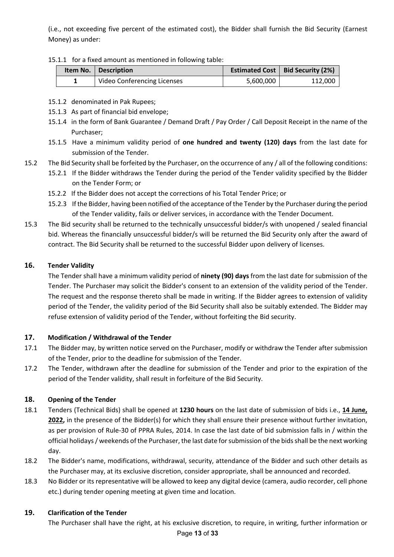(i.e., not exceeding five percent of the estimated cost), the Bidder shall furnish the Bid Security (Earnest Money) as under:

#### 15.1.1 for a fixed amount as mentioned in following table:

|  | <b>Item No.</b>   Description |           | Estimated Cost   Bid Security (2%) |
|--|-------------------------------|-----------|------------------------------------|
|  | Video Conferencing Licenses   | 5.600.000 | 112.000                            |

- 15.1.2 denominated in Pak Rupees;
- 15.1.3 As part of financial bid envelope;
- 15.1.4 in the form of Bank Guarantee / Demand Draft / Pay Order / Call Deposit Receipt in the name of the Purchaser;
- 15.1.5 Have a minimum validity period of **one hundred and twenty (120) days** from the last date for submission of the Tender.
- 15.2 The Bid Security shall be forfeited by the Purchaser, on the occurrence of any / all of the following conditions:
	- 15.2.1 If the Bidder withdraws the Tender during the period of the Tender validity specified by the Bidder on the Tender Form; or
	- 15.2.2 If the Bidder does not accept the corrections of his Total Tender Price; or
	- 15.2.3 If the Bidder, having been notified of the acceptance of the Tender by the Purchaser during the period of the Tender validity, fails or deliver services, in accordance with the Tender Document.
- 15.3 The Bid security shall be returned to the technically unsuccessful bidder/s with unopened / sealed financial bid. Whereas the financially unsuccessful bidder/s will be returned the Bid Security only after the award of contract. The Bid Security shall be returned to the successful Bidder upon delivery of licenses.

# **16. Tender Validity**

The Tender shall have a minimum validity period of **ninety (90) days** from the last date for submission of the Tender. The Purchaser may solicit the Bidder's consent to an extension of the validity period of the Tender. The request and the response thereto shall be made in writing. If the Bidder agrees to extension of validity period of the Tender, the validity period of the Bid Security shall also be suitably extended. The Bidder may refuse extension of validity period of the Tender, without forfeiting the Bid security.

# **17. Modification / Withdrawal of the Tender**

- 17.1 The Bidder may, by written notice served on the Purchaser, modify or withdraw the Tender after submission of the Tender, prior to the deadline for submission of the Tender.
- 17.2 The Tender, withdrawn after the deadline for submission of the Tender and prior to the expiration of the period of the Tender validity, shall result in forfeiture of the Bid Security.

# **18. Opening of the Tender**

- 18.1 Tenders (Technical Bids) shall be opened at **1230 hours** on the last date of submission of bids i.e., **14 June, 2022,** in the presence of the Bidder(s) for which they shall ensure their presence without further invitation, as per provision of Rule-30 of PPRA Rules, 2014. In case the last date of bid submission falls in / within the official holidays / weekends of the Purchaser, the last date for submission of the bids shall be the next working day.
- 18.2 The Bidder's name, modifications, withdrawal, security, attendance of the Bidder and such other details as the Purchaser may, at its exclusive discretion, consider appropriate, shall be announced and recorded.
- 18.3 No Bidder or its representative will be allowed to keep any digital device (camera, audio recorder, cell phone etc.) during tender opening meeting at given time and location.

# **19. Clarification of the Tender**

The Purchaser shall have the right, at his exclusive discretion, to require, in writing, further information or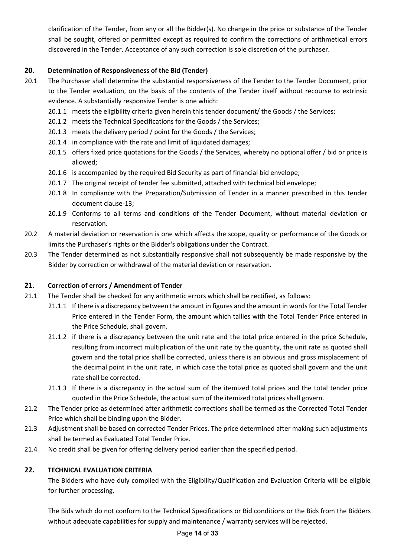clarification of the Tender, from any or all the Bidder(s). No change in the price or substance of the Tender shall be sought, offered or permitted except as required to confirm the corrections of arithmetical errors discovered in the Tender. Acceptance of any such correction is sole discretion of the purchaser.

# **20. Determination of Responsiveness of the Bid (Tender)**

- 20.1 The Purchaser shall determine the substantial responsiveness of the Tender to the Tender Document, prior to the Tender evaluation, on the basis of the contents of the Tender itself without recourse to extrinsic evidence. A substantially responsive Tender is one which:
	- 20.1.1 meets the eligibility criteria given herein this tender document/ the Goods / the Services;
	- 20.1.2 meets the Technical Specifications for the Goods / the Services;
	- 20.1.3 meets the delivery period / point for the Goods / the Services;
	- 20.1.4 in compliance with the rate and limit of liquidated damages;
	- 20.1.5 offers fixed price quotations for the Goods / the Services, whereby no optional offer / bid or price is allowed;
	- 20.1.6 is accompanied by the required Bid Security as part of financial bid envelope;
	- 20.1.7 The original receipt of tender fee submitted, attached with technical bid envelope;
	- 20.1.8 In compliance with the Preparation/Submission of Tender in a manner prescribed in this tender document clause-13;
	- 20.1.9 Conforms to all terms and conditions of the Tender Document, without material deviation or reservation.
- 20.2 A material deviation or reservation is one which affects the scope, quality or performance of the Goods or limits the Purchaser's rights or the Bidder's obligations under the Contract.
- 20.3 The Tender determined as not substantially responsive shall not subsequently be made responsive by the Bidder by correction or withdrawal of the material deviation or reservation.

# **21. Correction of errors / Amendment of Tender**

- 21.1 The Tender shall be checked for any arithmetic errors which shall be rectified, as follows:
	- 21.1.1 If there is a discrepancy between the amount in figures and the amount in words for the Total Tender Price entered in the Tender Form, the amount which tallies with the Total Tender Price entered in the Price Schedule, shall govern.
	- 21.1.2 if there is a discrepancy between the unit rate and the total price entered in the price Schedule, resulting from incorrect multiplication of the unit rate by the quantity, the unit rate as quoted shall govern and the total price shall be corrected, unless there is an obvious and gross misplacement of the decimal point in the unit rate, in which case the total price as quoted shall govern and the unit rate shall be corrected.
	- 21.1.3 If there is a discrepancy in the actual sum of the itemized total prices and the total tender price quoted in the Price Schedule, the actual sum of the itemized total prices shall govern.
- 21.2 The Tender price as determined after arithmetic corrections shall be termed as the Corrected Total Tender Price which shall be binding upon the Bidder.
- 21.3 Adjustment shall be based on corrected Tender Prices. The price determined after making such adjustments shall be termed as Evaluated Total Tender Price.
- 21.4 No credit shall be given for offering delivery period earlier than the specified period.

# **22. TECHNICAL EVALUATION CRITERIA**

The Bidders who have duly complied with the Eligibility/Qualification and Evaluation Criteria will be eligible for further processing.

The Bids which do not conform to the Technical Specifications or Bid conditions or the Bids from the Bidders without adequate capabilities for supply and maintenance / warranty services will be rejected.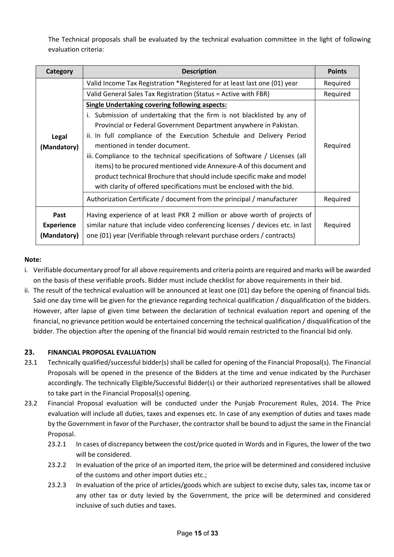The Technical proposals shall be evaluated by the technical evaluation committee in the light of following evaluation criteria:

| Category          | <b>Description</b>                                                             |          |  |  |
|-------------------|--------------------------------------------------------------------------------|----------|--|--|
|                   | Valid Income Tax Registration *Registered for at least last one (01) year      | Required |  |  |
|                   | Valid General Sales Tax Registration (Status = Active with FBR)                | Required |  |  |
|                   | <b>Single Undertaking covering following aspects:</b>                          |          |  |  |
|                   | i. Submission of undertaking that the firm is not blacklisted by any of        |          |  |  |
|                   | Provincial or Federal Government Department anywhere in Pakistan.              |          |  |  |
| Legal             | ii. In full compliance of the Execution Schedule and Delivery Period           |          |  |  |
| (Mandatory)       | mentioned in tender document.                                                  | Required |  |  |
|                   | iii. Compliance to the technical specifications of Software / Licenses (all    |          |  |  |
|                   | items) to be procured mentioned vide Annexure-A of this document and           |          |  |  |
|                   | product technical Brochure that should include specific make and model         |          |  |  |
|                   | with clarity of offered specifications must be enclosed with the bid.          |          |  |  |
|                   | Authorization Certificate / document from the principal / manufacturer         | Required |  |  |
| Past              | Having experience of at least PKR 2 million or above worth of projects of      |          |  |  |
| <b>Experience</b> | similar nature that include video conferencing licenses / devices etc. in last |          |  |  |
| (Mandatory)       | one (01) year (Verifiable through relevant purchase orders / contracts)        |          |  |  |

# **Note:**

- i. Verifiable documentary proof for all above requirements and criteria points are required and marks will be awarded on the basis of these verifiable proofs. Bidder must include checklist for above requirements in their bid.
- ii. The result of the technical evaluation will be announced at least one (01) day before the opening of financial bids. Said one day time will be given for the grievance regarding technical qualification / disqualification of the bidders. However, after lapse of given time between the declaration of technical evaluation report and opening of the financial, no grievance petition would be entertained concerning the technical qualification / disqualification of the bidder. The objection after the opening of the financial bid would remain restricted to the financial bid only.

# **23. FINANCIAL PROPOSAL EVALUATION**

- 23.1 Technically qualified/successful bidder(s) shall be called for opening of the Financial Proposal(s). The Financial Proposals will be opened in the presence of the Bidders at the time and venue indicated by the Purchaser accordingly. The technically Eligible/Successful Bidder(s) or their authorized representatives shall be allowed to take part in the Financial Proposal(s) opening.
- 23.2 Financial Proposal evaluation will be conducted under the Punjab Procurement Rules, 2014. The Price evaluation will include all duties, taxes and expenses etc. In case of any exemption of duties and taxes made by the Government in favor of the Purchaser, the contractor shall be bound to adjust the same in the Financial Proposal.
	- 23.2.1 In cases of discrepancy between the cost/price quoted in Words and in Figures, the lower of the two will be considered.
	- 23.2.2 In evaluation of the price of an imported item, the price will be determined and considered inclusive of the customs and other import duties etc.;
	- 23.2.3 In evaluation of the price of articles/goods which are subject to excise duty, sales tax, income tax or any other tax or duty levied by the Government, the price will be determined and considered inclusive of such duties and taxes.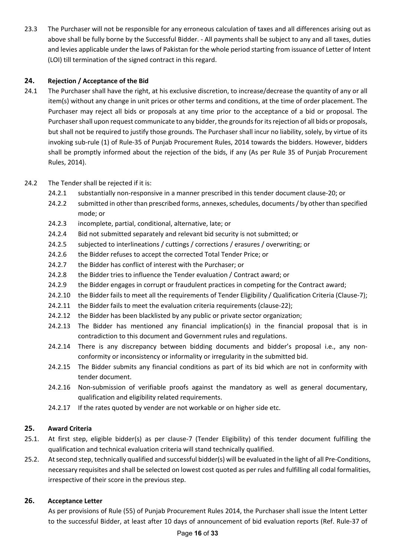23.3 The Purchaser will not be responsible for any erroneous calculation of taxes and all differences arising out as above shall be fully borne by the Successful Bidder. - All payments shall be subject to any and all taxes, duties and levies applicable under the laws of Pakistan for the whole period starting from issuance of Letter of Intent (LOI) till termination of the signed contract in this regard.

# **24. Rejection / Acceptance of the Bid**

24.1 The Purchaser shall have the right, at his exclusive discretion, to increase/decrease the quantity of any or all item(s) without any change in unit prices or other terms and conditions, at the time of order placement. The Purchaser may reject all bids or proposals at any time prior to the acceptance of a bid or proposal. The Purchaser shall upon request communicate to any bidder, the grounds for its rejection of all bids or proposals, but shall not be required to justify those grounds. The Purchaser shall incur no liability, solely, by virtue of its invoking sub-rule (1) of Rule-35 of Punjab Procurement Rules, 2014 towards the bidders. However, bidders shall be promptly informed about the rejection of the bids, if any (As per Rule 35 of Punjab Procurement Rules, 2014).

# 24.2 The Tender shall be rejected if it is:

- 24.2.1 substantially non-responsive in a manner prescribed in this tender document clause-20; or
- 24.2.2 submitted in other than prescribed forms, annexes, schedules, documents / by other than specified mode; or
- 24.2.3 incomplete, partial, conditional, alternative, late; or
- 24.2.4 Bid not submitted separately and relevant bid security is not submitted; or
- 24.2.5 subjected to interlineations / cuttings / corrections / erasures / overwriting; or
- 24.2.6 the Bidder refuses to accept the corrected Total Tender Price; or
- 24.2.7 the Bidder has conflict of interest with the Purchaser; or
- 24.2.8 the Bidder tries to influence the Tender evaluation / Contract award; or
- 24.2.9 the Bidder engages in corrupt or fraudulent practices in competing for the Contract award;
- 24.2.10 the Bidder fails to meet all the requirements of Tender Eligibility / Qualification Criteria (Clause-7);
- 24.2.11 the Bidder fails to meet the evaluation criteria requirements (clause-22);
- 24.2.12 the Bidder has been blacklisted by any public or private sector organization;
- 24.2.13 The Bidder has mentioned any financial implication(s) in the financial proposal that is in contradiction to this document and Government rules and regulations.
- 24.2.14 There is any discrepancy between bidding documents and bidder's proposal i.e., any nonconformity or inconsistency or informality or irregularity in the submitted bid.
- 24.2.15 The Bidder submits any financial conditions as part of its bid which are not in conformity with tender document.
- 24.2.16 Non-submission of verifiable proofs against the mandatory as well as general documentary, qualification and eligibility related requirements.
- 24.2.17 If the rates quoted by vender are not workable or on higher side etc.

# **25. Award Criteria**

- 25.1. At first step, eligible bidder(s) as per clause-7 (Tender Eligibility) of this tender document fulfilling the qualification and technical evaluation criteria will stand technically qualified.
- 25.2. At second step, technically qualified and successful bidder(s) will be evaluated in the light of all Pre-Conditions, necessary requisites and shall be selected on lowest cost quoted as per rules and fulfilling all codal formalities, irrespective of their score in the previous step.

# **26. Acceptance Letter**

As per provisions of Rule (55) of Punjab Procurement Rules 2014, the Purchaser shall issue the Intent Letter to the successful Bidder, at least after 10 days of announcement of bid evaluation reports (Ref. Rule-37 of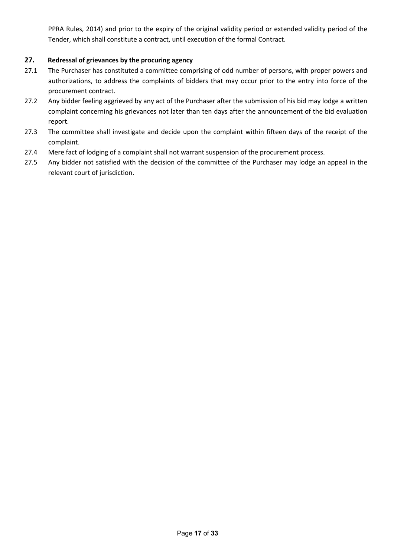PPRA Rules, 2014) and prior to the expiry of the original validity period or extended validity period of the Tender, which shall constitute a contract, until execution of the formal Contract.

# **27. Redressal of grievances by the procuring agency**

- 27.1 The Purchaser has constituted a committee comprising of odd number of persons, with proper powers and authorizations, to address the complaints of bidders that may occur prior to the entry into force of the procurement contract.
- 27.2 Any bidder feeling aggrieved by any act of the Purchaser after the submission of his bid may lodge a written complaint concerning his grievances not later than ten days after the announcement of the bid evaluation report.
- 27.3 The committee shall investigate and decide upon the complaint within fifteen days of the receipt of the complaint.
- 27.4 Mere fact of lodging of a complaint shall not warrant suspension of the procurement process.
- 27.5 Any bidder not satisfied with the decision of the committee of the Purchaser may lodge an appeal in the relevant court of jurisdiction.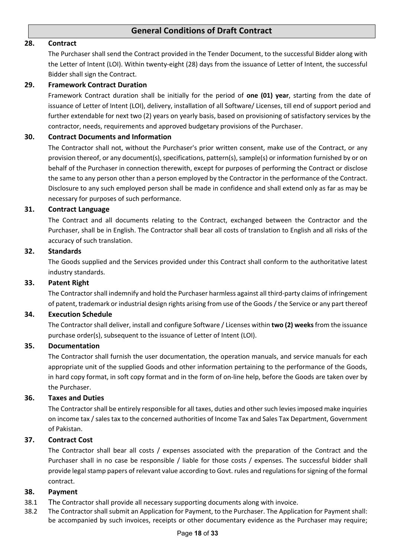# **General Conditions of Draft Contract**

#### **28. Contract**

The Purchaser shall send the Contract provided in the Tender Document, to the successful Bidder along with the Letter of Intent (LOI). Within twenty-eight (28) days from the issuance of Letter of Intent, the successful Bidder shall sign the Contract.

#### **29. Framework Contract Duration**

Framework Contract duration shall be initially for the period of **one (01) year**, starting from the date of issuance of Letter of Intent (LOI), delivery, installation of all Software/ Licenses, till end of support period and further extendable for next two (2) years on yearly basis, based on provisioning of satisfactory services by the contractor, needs, requirements and approved budgetary provisions of the Purchaser.

#### **30. Contract Documents and Information**

The Contractor shall not, without the Purchaser's prior written consent, make use of the Contract, or any provision thereof, or any document(s), specifications, pattern(s), sample(s) or information furnished by or on behalf of the Purchaser in connection therewith, except for purposes of performing the Contract or disclose the same to any person other than a person employed by the Contractor in the performance of the Contract. Disclosure to any such employed person shall be made in confidence and shall extend only as far as may be necessary for purposes of such performance.

#### **31. Contract Language**

The Contract and all documents relating to the Contract, exchanged between the Contractor and the Purchaser, shall be in English. The Contractor shall bear all costs of translation to English and all risks of the accuracy of such translation.

#### **32. Standards**

The Goods supplied and the Services provided under this Contract shall conform to the authoritative latest industry standards.

#### **33. Patent Right**

The Contractor shall indemnify and hold the Purchaser harmless against all third-party claims of infringement of patent, trademark or industrial design rights arising from use of the Goods / the Service or any part thereof

#### **34. Execution Schedule**

The Contractor shall deliver, install and configure Software / Licenses within **two (2) weeks**from the issuance purchase order(s), subsequent to the issuance of Letter of Intent (LOI).

#### **35. Documentation**

The Contractor shall furnish the user documentation, the operation manuals, and service manuals for each appropriate unit of the supplied Goods and other information pertaining to the performance of the Goods, in hard copy format, in soft copy format and in the form of on-line help, before the Goods are taken over by the Purchaser.

#### **36. Taxes and Duties**

The Contractor shall be entirely responsible for all taxes, duties and other such levies imposed make inquiries on income tax / sales tax to the concerned authorities of Income Tax and Sales Tax Department, Government of Pakistan.

#### **37. Contract Cost**

The Contractor shall bear all costs / expenses associated with the preparation of the Contract and the Purchaser shall in no case be responsible / liable for those costs / expenses. The successful bidder shall provide legal stamp papers of relevant value according to Govt. rules and regulations for signing of the formal contract.

#### **38. Payment**

- 38.1 The Contractor shall provide all necessary supporting documents along with invoice.
- 38.2 The Contractor shall submit an Application for Payment, to the Purchaser. The Application for Payment shall: be accompanied by such invoices, receipts or other documentary evidence as the Purchaser may require;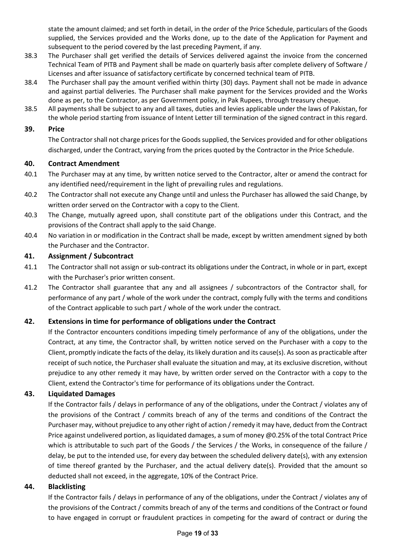state the amount claimed; and set forth in detail, in the order of the Price Schedule, particulars of the Goods supplied, the Services provided and the Works done, up to the date of the Application for Payment and subsequent to the period covered by the last preceding Payment, if any.

- 38.3 The Purchaser shall get verified the details of Services delivered against the invoice from the concerned Technical Team of PITB and Payment shall be made on quarterly basis after complete delivery of Software / Licenses and after issuance of satisfactory certificate by concerned technical team of PITB.
- 38.4 The Purchaser shall pay the amount verified within thirty (30) days. Payment shall not be made in advance and against partial deliveries. The Purchaser shall make payment for the Services provided and the Works done as per, to the Contractor, as per Government policy, in Pak Rupees, through treasury cheque.
- 38.5 All payments shall be subject to any and all taxes, duties and levies applicable under the laws of Pakistan, for the whole period starting from issuance of Intent Letter till termination of the signed contract in this regard.

### **39. Price**

The Contractor shall not charge prices for the Goods supplied, the Services provided and for other obligations discharged, under the Contract, varying from the prices quoted by the Contractor in the Price Schedule.

# **40. Contract Amendment**

- 40.1 The Purchaser may at any time, by written notice served to the Contractor, alter or amend the contract for any identified need/requirement in the light of prevailing rules and regulations.
- 40.2 The Contractor shall not execute any Change until and unless the Purchaser has allowed the said Change, by written order served on the Contractor with a copy to the Client.
- 40.3 The Change, mutually agreed upon, shall constitute part of the obligations under this Contract, and the provisions of the Contract shall apply to the said Change.
- 40.4 No variation in or modification in the Contract shall be made, except by written amendment signed by both the Purchaser and the Contractor.

# **41. Assignment / Subcontract**

- 41.1 The Contractor shall not assign or sub-contract its obligations under the Contract, in whole or in part, except with the Purchaser's prior written consent.
- 41.2 The Contractor shall guarantee that any and all assignees / subcontractors of the Contractor shall, for performance of any part / whole of the work under the contract, comply fully with the terms and conditions of the Contract applicable to such part / whole of the work under the contract.

# **42. Extensions in time for performance of obligations under the Contract**

If the Contractor encounters conditions impeding timely performance of any of the obligations, under the Contract, at any time, the Contractor shall, by written notice served on the Purchaser with a copy to the Client, promptly indicate the facts of the delay, its likely duration and its cause(s). As soon as practicable after receipt of such notice, the Purchaser shall evaluate the situation and may, at its exclusive discretion, without prejudice to any other remedy it may have, by written order served on the Contractor with a copy to the Client, extend the Contractor's time for performance of its obligations under the Contract.

# **43. Liquidated Damages**

If the Contractor fails / delays in performance of any of the obligations, under the Contract / violates any of the provisions of the Contract / commits breach of any of the terms and conditions of the Contract the Purchaser may, without prejudice to any other right of action / remedy it may have, deduct from the Contract Price against undelivered portion, as liquidated damages, a sum of money @0.25% of the total Contract Price which is attributable to such part of the Goods / the Services / the Works, in consequence of the failure / delay, be put to the intended use, for every day between the scheduled delivery date(s), with any extension of time thereof granted by the Purchaser, and the actual delivery date(s). Provided that the amount so deducted shall not exceed, in the aggregate, 10% of the Contract Price.

# **44. Blacklisting**

If the Contractor fails / delays in performance of any of the obligations, under the Contract / violates any of the provisions of the Contract / commits breach of any of the terms and conditions of the Contract or found to have engaged in corrupt or fraudulent practices in competing for the award of contract or during the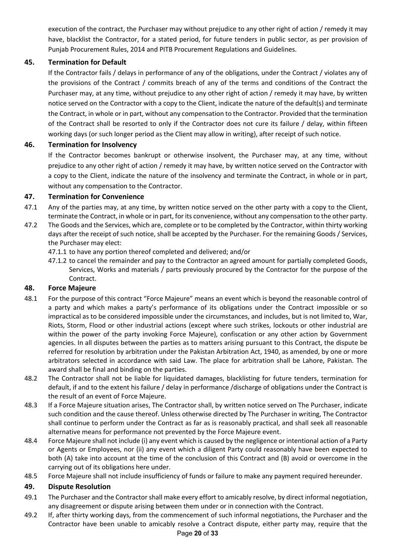execution of the contract, the Purchaser may without prejudice to any other right of action / remedy it may have, blacklist the Contractor, for a stated period, for future tenders in public sector, as per provision of Punjab Procurement Rules, 2014 and PITB Procurement Regulations and Guidelines.

# **45. Termination for Default**

If the Contractor fails / delays in performance of any of the obligations, under the Contract / violates any of the provisions of the Contract / commits breach of any of the terms and conditions of the Contract the Purchaser may, at any time, without prejudice to any other right of action / remedy it may have, by written notice served on the Contractor with a copy to the Client, indicate the nature of the default(s) and terminate the Contract, in whole or in part, without any compensation to the Contractor. Provided that the termination of the Contract shall be resorted to only if the Contractor does not cure its failure / delay, within fifteen working days (or such longer period as the Client may allow in writing), after receipt of such notice.

# **46. Termination for Insolvency**

If the Contractor becomes bankrupt or otherwise insolvent, the Purchaser may, at any time, without prejudice to any other right of action / remedy it may have, by written notice served on the Contractor with a copy to the Client, indicate the nature of the insolvency and terminate the Contract, in whole or in part, without any compensation to the Contractor.

# **47. Termination for Convenience**

- 47.1 Any of the parties may, at any time, by written notice served on the other party with a copy to the Client, terminate the Contract, in whole or in part, for its convenience, without any compensation to the other party.
- 47.2 The Goods and the Services, which are, complete or to be completed by the Contractor, within thirty working days after the receipt of such notice, shall be accepted by the Purchaser. For the remaining Goods / Services, the Purchaser may elect:
	- 47.1.1 to have any portion thereof completed and delivered; and/or
	- 47.1.2 to cancel the remainder and pay to the Contractor an agreed amount for partially completed Goods, Services, Works and materials / parts previously procured by the Contractor for the purpose of the Contract.

# **48. Force Majeure**

- 48.1 For the purpose of this contract "Force Majeure" means an event which is beyond the reasonable control of a party and which makes a party's performance of its obligations under the Contract impossible or so impractical as to be considered impossible under the circumstances, and includes, but is not limited to, War, Riots, Storm, Flood or other industrial actions (except where such strikes, lockouts or other industrial are within the power of the party invoking Force Majeure), confiscation or any other action by Government agencies. In all disputes between the parties as to matters arising pursuant to this Contract, the dispute be referred for resolution by arbitration under the Pakistan Arbitration Act, 1940, as amended, by one or more arbitrators selected in accordance with said Law. The place for arbitration shall be Lahore, Pakistan. The award shall be final and binding on the parties.
- 48.2 The Contractor shall not be liable for liquidated damages, blacklisting for future tenders, termination for default, if and to the extent his failure / delay in performance /discharge of obligations under the Contract is the result of an event of Force Majeure.
- 48.3 If a Force Majeure situation arises, The Contractor shall, by written notice served on The Purchaser, indicate such condition and the cause thereof. Unless otherwise directed by The Purchaser in writing, The Contractor shall continue to perform under the Contract as far as is reasonably practical, and shall seek all reasonable alternative means for performance not prevented by the Force Majeure event.
- 48.4 Force Majeure shall not include (i) any event which is caused by the negligence or intentional action of a Party or Agents or Employees, nor (ii) any event which a diligent Party could reasonably have been expected to both (A) take into account at the time of the conclusion of this Contract and (B) avoid or overcome in the carrying out of its obligations here under.
- 48.5 Force Majeure shall not include insufficiency of funds or failure to make any payment required hereunder.

# **49. Dispute Resolution**

- 49.1 The Purchaser and the Contractor shall make every effort to amicably resolve, by direct informal negotiation, any disagreement or dispute arising between them under or in connection with the Contract.
- 49.2 If, after thirty working days, from the commencement of such informal negotiations, the Purchaser and the Contractor have been unable to amicably resolve a Contract dispute, either party may, require that the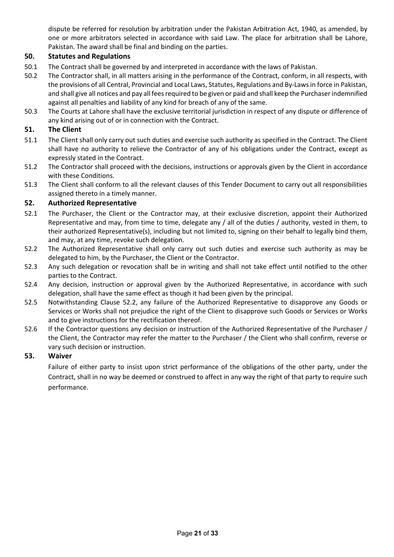dispute be referred for resolution by arbitration under the Pakistan Arbitration Act, 1940, as amended, by one or more arbitrators selected in accordance with said Law. The place for arbitration shall be Lahore, Pakistan. The award shall be final and binding on the parties.

# **50. Statutes and Regulations**

- 50.1 The Contract shall be governed by and interpreted in accordance with the laws of Pakistan.
- 50.2 The Contractor shall, in all matters arising in the performance of the Contract, conform, in all respects, with the provisions of all Central, Provincial and Local Laws, Statutes, Regulations and By-Laws in force in Pakistan, and shall give all notices and pay all fees required to be given or paid and shall keep the Purchaser indemnified against all penalties and liability of any kind for breach of any of the same.
- 50.3 The Courts at Lahore shall have the exclusive territorial jurisdiction in respect of any dispute or difference of any kind arising out of or in connection with the Contract.

# **51. The Client**

- 51.1 The Client shall only carry out such duties and exercise such authority as specified in the Contract. The Client shall have no authority to relieve the Contractor of any of his obligations under the Contract, except as expressly stated in the Contract.
- 51.2 The Contractor shall proceed with the decisions, instructions or approvals given by the Client in accordance with these Conditions.
- 51.3 The Client shall conform to all the relevant clauses of this Tender Document to carry out all responsibilities assigned thereto in a timely manner.

# **52. Authorized Representative**

- 52.1 The Purchaser, the Client or the Contractor may, at their exclusive discretion, appoint their Authorized Representative and may, from time to time, delegate any / all of the duties / authority, vested in them, to their authorized Representative(s), including but not limited to, signing on their behalf to legally bind them, and may, at any time, revoke such delegation.
- 52.2 The Authorized Representative shall only carry out such duties and exercise such authority as may be delegated to him, by the Purchaser, the Client or the Contractor.
- 52.3 Any such delegation or revocation shall be in writing and shall not take effect until notified to the other parties to the Contract.
- 52.4 Any decision, instruction or approval given by the Authorized Representative, in accordance with such delegation, shall have the same effect as though it had been given by the principal.
- 52.5 Notwithstanding Clause 52.2, any failure of the Authorized Representative to disapprove any Goods or Services or Works shall not prejudice the right of the Client to disapprove such Goods or Services or Works and to give instructions for the rectification thereof.
- 52.6 If the Contractor questions any decision or instruction of the Authorized Representative of the Purchaser / the Client, the Contractor may refer the matter to the Purchaser / the Client who shall confirm, reverse or vary such decision or instruction.

# **53. Waiver**

Failure of either party to insist upon strict performance of the obligations of the other party, under the Contract, shall in no way be deemed or construed to affect in any way the right of that party to require such performance.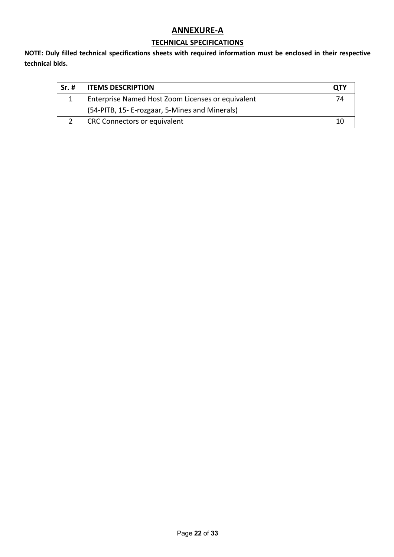# **ANNEXURE-A**

# **TECHNICAL SPECIFICATIONS**

**NOTE: Duly filled technical specifications sheets with required information must be enclosed in their respective technical bids.**

| $Sr.$ # | <b>ITEMS DESCRIPTION</b>                          | <b>OTY</b> |
|---------|---------------------------------------------------|------------|
|         | Enterprise Named Host Zoom Licenses or equivalent | 7Δ         |
|         | (54-PITB, 15- E-rozgaar, 5-Mines and Minerals)    |            |
|         | CRC Connectors or equivalent                      |            |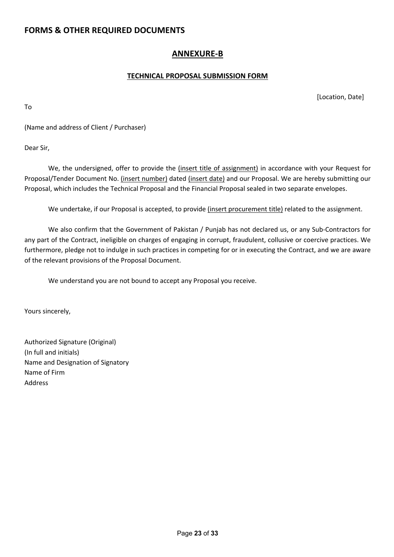# **FORMS & OTHER REQUIRED DOCUMENTS**

# **ANNEXURE-B**

# **TECHNICAL PROPOSAL SUBMISSION FORM**

[Location, Date]

To

(Name and address of Client / Purchaser)

Dear Sir,

We, the undersigned, offer to provide the (insert title of assignment) in accordance with your Request for Proposal/Tender Document No. (insert number) dated (insert date) and our Proposal. We are hereby submitting our Proposal, which includes the Technical Proposal and the Financial Proposal sealed in two separate envelopes.

We undertake, if our Proposal is accepted, to provide (insert procurement title) related to the assignment.

We also confirm that the Government of Pakistan / Punjab has not declared us, or any Sub-Contractors for any part of the Contract, ineligible on charges of engaging in corrupt, fraudulent, collusive or coercive practices. We furthermore, pledge not to indulge in such practices in competing for or in executing the Contract, and we are aware of the relevant provisions of the Proposal Document.

We understand you are not bound to accept any Proposal you receive.

Yours sincerely,

Authorized Signature (Original) (In full and initials) Name and Designation of Signatory Name of Firm Address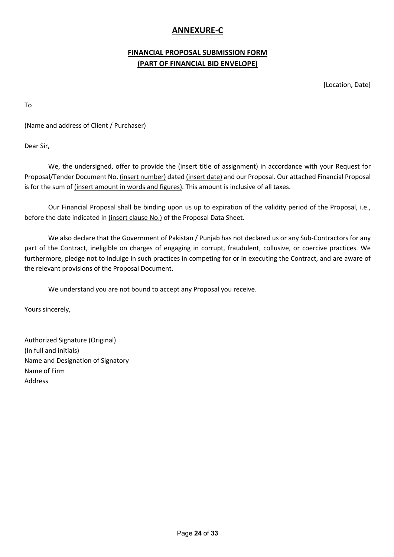# **ANNEXURE-C**

# **FINANCIAL PROPOSAL SUBMISSION FORM (PART OF FINANCIAL BID ENVELOPE)**

[Location, Date]

To

(Name and address of Client / Purchaser)

Dear Sir,

We, the undersigned, offer to provide the (insert title of assignment) in accordance with your Request for Proposal/Tender Document No. (insert number) dated (insert date) and our Proposal. Our attached Financial Proposal is for the sum of *(insert amount in words and figures)*. This amount is inclusive of all taxes.

Our Financial Proposal shall be binding upon us up to expiration of the validity period of the Proposal, i.e., before the date indicated in (insert clause No.) of the Proposal Data Sheet.

We also declare that the Government of Pakistan / Punjab has not declared us or any Sub-Contractors for any part of the Contract, ineligible on charges of engaging in corrupt, fraudulent, collusive, or coercive practices. We furthermore, pledge not to indulge in such practices in competing for or in executing the Contract, and are aware of the relevant provisions of the Proposal Document.

We understand you are not bound to accept any Proposal you receive.

Yours sincerely,

Authorized Signature (Original) (In full and initials) Name and Designation of Signatory Name of Firm Address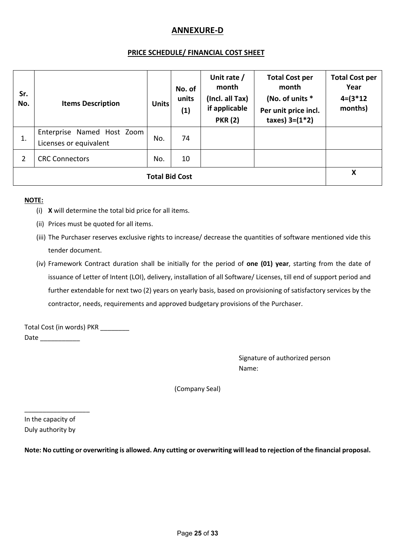# **ANNEXURE-D**

# **PRICE SCHEDULE/ FINANCIAL COST SHEET**

| Sr.<br>No.            | <b>Items Description</b>                             | Units | No. of<br>units<br>(1) | Unit rate /<br>month<br>(Incl. all Tax)<br>if applicable<br><b>PKR (2)</b> | <b>Total Cost per</b><br>month<br>(No. of units *<br>Per unit price incl.<br>taxes) $3=(1*2)$ | <b>Total Cost per</b><br>Year<br>$4 = (3 * 12)$<br>months) |
|-----------------------|------------------------------------------------------|-------|------------------------|----------------------------------------------------------------------------|-----------------------------------------------------------------------------------------------|------------------------------------------------------------|
| 1.                    | Enterprise Named Host Zoom<br>Licenses or equivalent | No.   | 74                     |                                                                            |                                                                                               |                                                            |
| $\overline{2}$        | <b>CRC Connectors</b>                                | No.   | 10                     |                                                                            |                                                                                               |                                                            |
| <b>Total Bid Cost</b> |                                                      |       |                        |                                                                            | X                                                                                             |                                                            |

#### **NOTE:**

- (i) **X** will determine the total bid price for all items.
- (ii) Prices must be quoted for all items.
- (iii) The Purchaser reserves exclusive rights to increase/ decrease the quantities of software mentioned vide this tender document.
- (iv) Framework Contract duration shall be initially for the period of **one (01) year**, starting from the date of issuance of Letter of Intent (LOI), delivery, installation of all Software/ Licenses, till end of support period and further extendable for next two (2) years on yearly basis, based on provisioning of satisfactory services by the contractor, needs, requirements and approved budgetary provisions of the Purchaser.

Total Cost (in words) PKR \_\_\_\_\_\_\_\_ Date  $\qquad \qquad$ 

> Signature of authorized person Name:

(Company Seal)

In the capacity of Duly authority by

\_\_\_\_\_\_\_\_\_\_\_\_\_\_\_\_\_\_

**Note: No cutting or overwriting is allowed. Any cutting or overwriting will lead to rejection of the financial proposal.**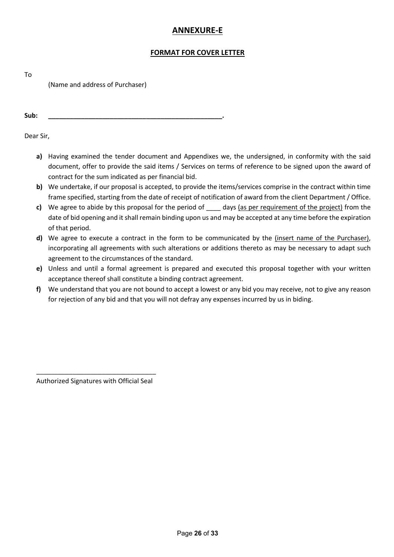# **ANNEXURE-E**

# **FORMAT FOR COVER LETTER**

To

(Name and address of Purchaser)

**Sub: \_\_\_\_\_\_\_\_\_\_\_\_\_\_\_\_\_\_\_\_\_\_\_\_\_\_\_\_\_\_\_\_\_\_\_\_\_\_\_\_\_\_\_\_\_\_\_\_.** 

Dear Sir,

- **a)** Having examined the tender document and Appendixes we, the undersigned, in conformity with the said document, offer to provide the said items / Services on terms of reference to be signed upon the award of contract for the sum indicated as per financial bid.
- **b)** We undertake, if our proposal is accepted, to provide the items/services comprise in the contract within time frame specified, starting from the date of receipt of notification of award from the client Department / Office.
- **c)** We agree to abide by this proposal for the period of \_\_\_\_ days (as per requirement of the project) from the date of bid opening and it shall remain binding upon us and may be accepted at any time before the expiration of that period.
- **d)** We agree to execute a contract in the form to be communicated by the (insert name of the Purchaser), incorporating all agreements with such alterations or additions thereto as may be necessary to adapt such agreement to the circumstances of the standard.
- **e)** Unless and until a formal agreement is prepared and executed this proposal together with your written acceptance thereof shall constitute a binding contract agreement.
- **f)** We understand that you are not bound to accept a lowest or any bid you may receive, not to give any reason for rejection of any bid and that you will not defray any expenses incurred by us in biding.

\_\_\_\_\_\_\_\_\_\_\_\_\_\_\_\_\_\_\_\_\_\_\_\_\_\_\_\_\_\_\_\_\_ Authorized Signatures with Official Seal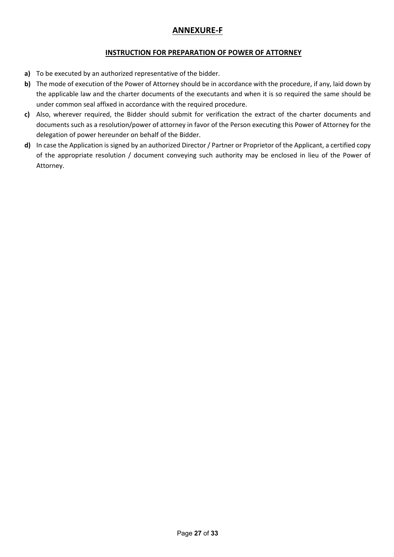# **ANNEXURE-F**

# **INSTRUCTION FOR PREPARATION OF POWER OF ATTORNEY**

- **a)** To be executed by an authorized representative of the bidder.
- **b)** The mode of execution of the Power of Attorney should be in accordance with the procedure, if any, laid down by the applicable law and the charter documents of the executants and when it is so required the same should be under common seal affixed in accordance with the required procedure.
- **c)** Also, wherever required, the Bidder should submit for verification the extract of the charter documents and documents such as a resolution/power of attorney in favor of the Person executing this Power of Attorney for the delegation of power hereunder on behalf of the Bidder.
- **d)** In case the Application is signed by an authorized Director / Partner or Proprietor of the Applicant, a certified copy of the appropriate resolution / document conveying such authority may be enclosed in lieu of the Power of Attorney.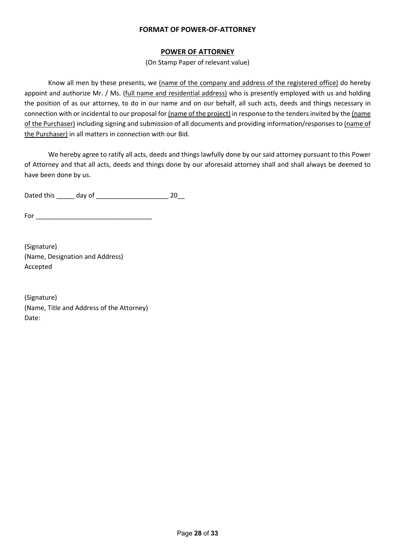# **FORMAT OF POWER-OF-ATTORNEY**

# **POWER OF ATTORNEY**

(On Stamp Paper of relevant value)

Know all men by these presents, we (name of the company and address of the registered office) do hereby appoint and authorize Mr. / Ms. (full name and residential address) who is presently employed with us and holding the position of as our attorney, to do in our name and on our behalf, all such acts, deeds and things necessary in connection with or incidental to our proposal for (name of the project) in response to the tenders invited by the (name of the Purchaser) including signing and submission of all documents and providing information/responses to (name of the Purchaser) in all matters in connection with our Bid.

We hereby agree to ratify all acts, deeds and things lawfully done by our said attorney pursuant to this Power of Attorney and that all acts, deeds and things done by our aforesaid attorney shall and shall always be deemed to have been done by us.

Dated this \_\_\_\_\_ day of \_\_\_\_\_\_\_\_\_\_\_\_\_\_\_\_\_\_\_\_ 20\_\_

For \_\_\_\_\_\_\_\_\_\_\_\_\_\_\_\_\_\_\_\_\_\_\_\_\_\_\_\_\_\_\_\_

(Signature) (Name, Designation and Address) Accepted

(Signature) (Name, Title and Address of the Attorney) Date: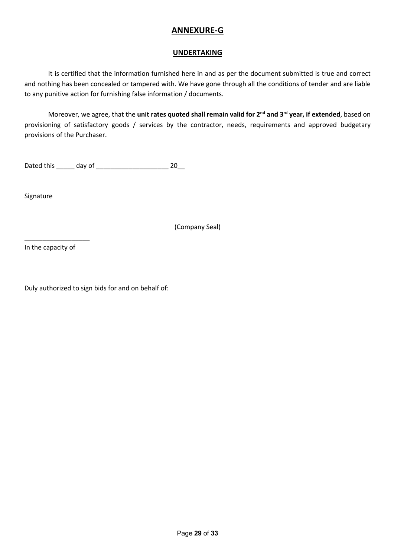# **ANNEXURE-G**

# **UNDERTAKING**

It is certified that the information furnished here in and as per the document submitted is true and correct and nothing has been concealed or tampered with. We have gone through all the conditions of tender and are liable to any punitive action for furnishing false information / documents.

Moreover, we agree, that the **unit rates quoted shall remain valid for 2nd and 3rd year, if extended**, based on provisioning of satisfactory goods / services by the contractor, needs, requirements and approved budgetary provisions of the Purchaser.

Dated this \_\_\_\_\_ day of \_\_\_\_\_\_\_\_\_\_\_\_\_\_\_\_\_\_\_\_ 20\_\_

Signature

(Company Seal)

In the capacity of

\_\_\_\_\_\_\_\_\_\_\_\_\_\_\_\_\_\_

Duly authorized to sign bids for and on behalf of: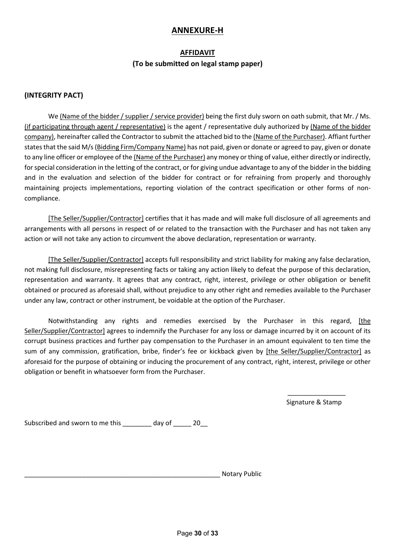# **ANNEXURE-H**

### **AFFIDAVIT**

# **(To be submitted on legal stamp paper)**

# **(INTEGRITY PACT)**

We (Name of the bidder / supplier / service provider) being the first duly sworn on oath submit, that Mr. / Ms. (if participating through agent / representative) is the agent / representative duly authorized by (Name of the bidder company), hereinafter called the Contractor to submit the attached bid to the (Name of the Purchaser). Affiant further states that the said M/s (Bidding Firm/Company Name) has not paid, given or donate or agreed to pay, given or donate to any line officer or employee of the (Name of the Purchaser) any money or thing of value, either directly or indirectly, for special consideration in the letting of the contract, or for giving undue advantage to any of the bidder in the bidding and in the evaluation and selection of the bidder for contract or for refraining from properly and thoroughly maintaining projects implementations, reporting violation of the contract specification or other forms of noncompliance.

[The Seller/Supplier/Contractor] certifies that it has made and will make full disclosure of all agreements and arrangements with all persons in respect of or related to the transaction with the Purchaser and has not taken any action or will not take any action to circumvent the above declaration, representation or warranty.

[The Seller/Supplier/Contractor] accepts full responsibility and strict liability for making any false declaration, not making full disclosure, misrepresenting facts or taking any action likely to defeat the purpose of this declaration, representation and warranty. It agrees that any contract, right, interest, privilege or other obligation or benefit obtained or procured as aforesaid shall, without prejudice to any other right and remedies available to the Purchaser under any law, contract or other instrument, be voidable at the option of the Purchaser.

Notwithstanding any rights and remedies exercised by the Purchaser in this regard, [the Seller/Supplier/Contractor] agrees to indemnify the Purchaser for any loss or damage incurred by it on account of its corrupt business practices and further pay compensation to the Purchaser in an amount equivalent to ten time the sum of any commission, gratification, bribe, finder's fee or kickback given by [the Seller/Supplier/Contractor] as aforesaid for the purpose of obtaining or inducing the procurement of any contract, right, interest, privilege or other obligation or benefit in whatsoever form from the Purchaser.

> $\overline{\phantom{a}}$  ,  $\overline{\phantom{a}}$  ,  $\overline{\phantom{a}}$  ,  $\overline{\phantom{a}}$  ,  $\overline{\phantom{a}}$  ,  $\overline{\phantom{a}}$  ,  $\overline{\phantom{a}}$  ,  $\overline{\phantom{a}}$  ,  $\overline{\phantom{a}}$  ,  $\overline{\phantom{a}}$  ,  $\overline{\phantom{a}}$  ,  $\overline{\phantom{a}}$  ,  $\overline{\phantom{a}}$  ,  $\overline{\phantom{a}}$  ,  $\overline{\phantom{a}}$  ,  $\overline{\phantom{a}}$ Signature & Stamp

Subscribed and sworn to me this day of 20

Notary Public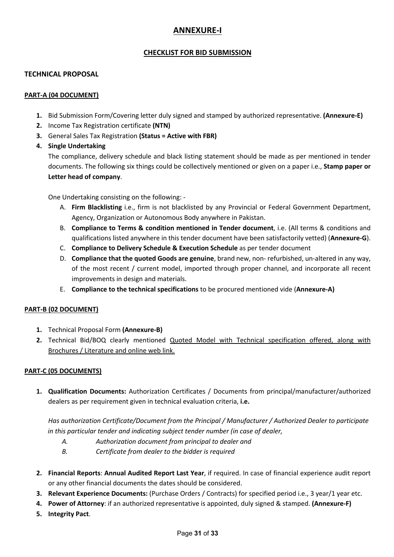# **ANNEXURE-I**

# **CHECKLIST FOR BID SUBMISSION**

### **TECHNICAL PROPOSAL**

#### **PART-A (04 DOCUMENT)**

- **1.** Bid Submission Form/Covering letter duly signed and stamped by authorized representative. **(Annexure-E)**
- **2.** Income Tax Registration certificate **(NTN)**
- **3.** General Sales Tax Registration **(Status = Active with FBR)**
- **4. Single Undertaking**

The compliance, delivery schedule and black listing statement should be made as per mentioned in tender documents. The following six things could be collectively mentioned or given on a paper i.e., **Stamp paper or Letter head of company**.

One Undertaking consisting on the following: -

- A. **Firm Blacklisting** i.e., firm is not blacklisted by any Provincial or Federal Government Department, Agency, Organization or Autonomous Body anywhere in Pakistan.
- B. **Compliance to Terms & condition mentioned in Tender document**, i.e. (All terms & conditions and qualifications listed anywhere in this tender document have been satisfactorily vetted) (**Annexure-G**).
- C. **Compliance to Delivery Schedule & Execution Schedule** as per tender document
- D. **Compliance that the quoted Goods are genuine**, brand new, non- refurbished, un-altered in any way, of the most recent / current model, imported through proper channel, and incorporate all recent improvements in design and materials.
- E. **Compliance to the technical specifications** to be procured mentioned vide (**Annexure-A)**

# **PART-B (02 DOCUMENT)**

- **1.** Technical Proposal Form **(Annexure-B)**
- **2.** Technical Bid/BOQ clearly mentioned Quoted Model with Technical specification offered, along with Brochures / Literature and online web link.

# **PART-C (05 DOCUMENTS)**

**1. Qualification Documents:** Authorization Certificates / Documents from principal/manufacturer/authorized dealers as per requirement given in technical evaluation criteria, **i.e.**

*Has authorization Certificate/Document from the Principal / Manufacturer / Authorized Dealer to participate in this particular tender and indicating subject tender number (in case of dealer,*

- *A. Authorization document from principal to dealer and*
- *B. Certificate from dealer to the bidder is required*
- **2. Financial Reports**: **Annual Audited Report Last Year**, if required. In case of financial experience audit report or any other financial documents the dates should be considered.
- **3. Relevant Experience Documents:** (Purchase Orders / Contracts) for specified period i.e., 3 year/1 year etc.
- **4. Power of Attorney**: if an authorized representative is appointed, duly signed & stamped. **(Annexure-F)**
- **5. Integrity Pact**.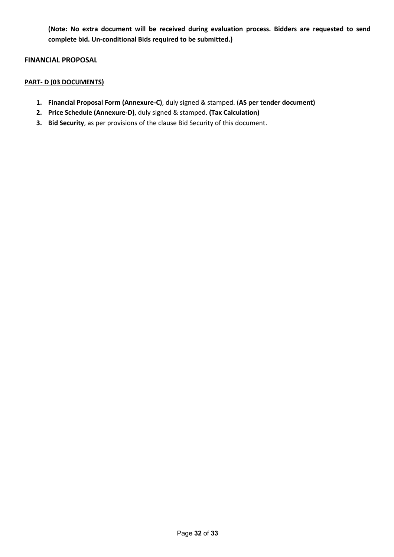**(Note: No extra document will be received during evaluation process. Bidders are requested to send complete bid. Un-conditional Bids required to be submitted.)**

#### **FINANCIAL PROPOSAL**

# **PART- D (03 DOCUMENTS)**

- **1. Financial Proposal Form (Annexure-C)**, duly signed & stamped. (**AS per tender document)**
- **2. Price Schedule (Annexure-D)**, duly signed & stamped. **(Tax Calculation)**
- **3. Bid Security**, as per provisions of the clause Bid Security of this document.